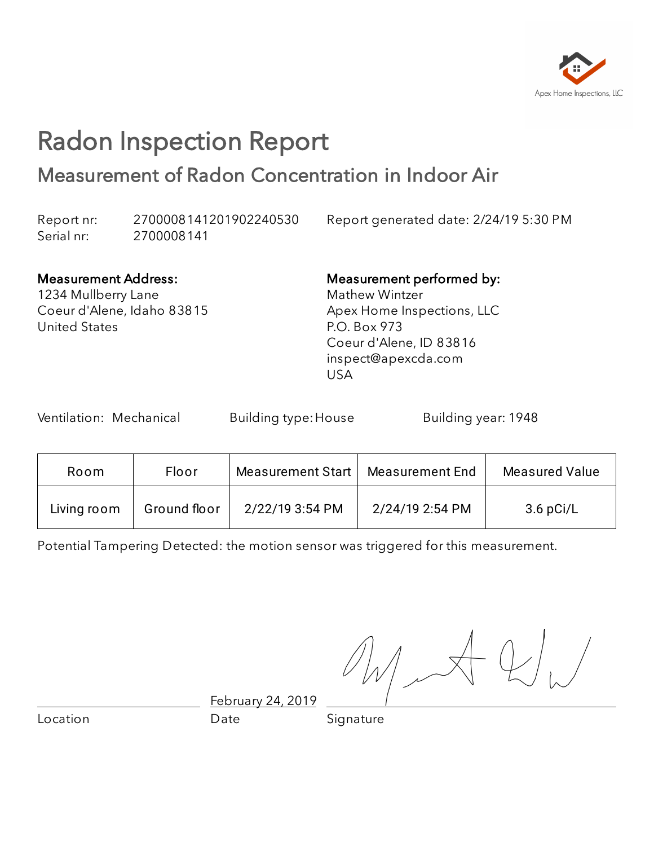

## Radon Inspection Report Measurement of Radon Concentration in Indoor Air

Report nr: 2700008141201902240530 Report generated date: 2/24/19 5:30 PM Serial nr: 2700008141

#### Measurement Address:

1234 Mullberry Lane Coeur d'Alene, Idaho 83815 United States

#### Measurement performed by: Mathew Wintzer

Apex Home Inspections, LLC P.O. Box 973 Coeur d'Alene, ID 83816 inspect@apexcda.com USA

Ventilation: Mechanical Building type: House Building year: 1948

| Room        | Floor        | Measurement Start | Measurement End | Measured Value |
|-------------|--------------|-------------------|-----------------|----------------|
| Living room | Ground floor | 2/22/19 3:54 PM   | 2/24/19 2:54 PM | $3.6$ pCi/L    |

Potential Tampering Detected: the motion sensor was triggered for this measurement.

February 24, 2019

Location **Date** Date Signature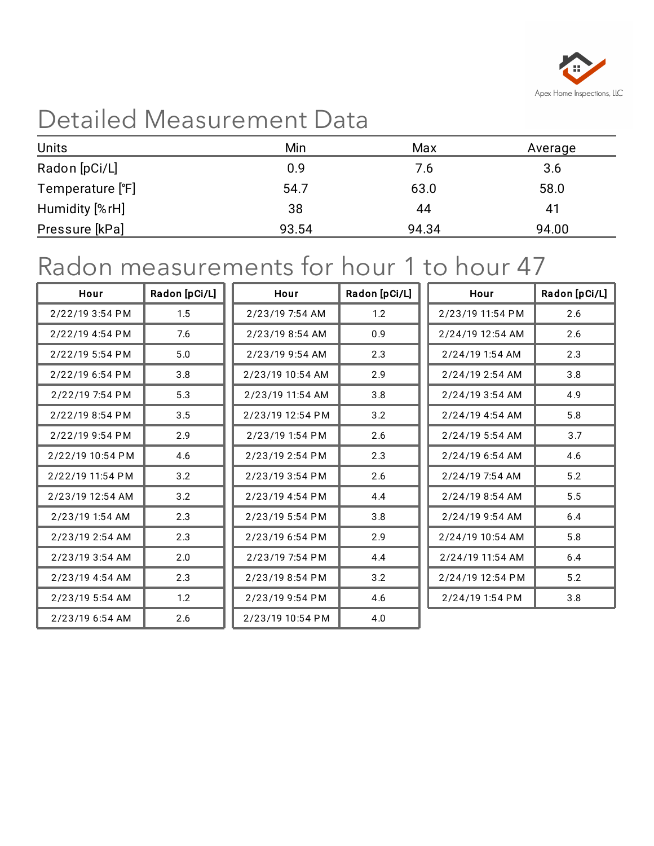

# Detailed Measurement Data

| <b>Units</b>     | Min   | Max   | Average |
|------------------|-------|-------|---------|
| Radon [pCi/L]    | 0.9   | 7.6   | 3.6     |
| Temperature [°F] | 54.7  | 63.0  | 58.0    |
| Humidity [%rH]   | 38    | 44    | 41      |
| Pressure [kPa]   | 93.54 | 94.34 | 94.00   |

## Radon measurements for hour 1 to hour 47

| Hour             | Radon [pCi/L] | Hour             | Radon [pCi/L] | Hour             | Radon [pCi/L] |
|------------------|---------------|------------------|---------------|------------------|---------------|
| 2/22/19 3:54 PM  | 1.5           | 2/23/19 7:54 AM  | 1.2           | 2/23/19 11:54 PM | 2.6           |
| 2/22/19 4:54 PM  | 7.6           | 2/23/19 8:54 AM  | 0.9           | 2/24/19 12:54 AM | 2.6           |
| 2/22/19 5:54 PM  | 5.0           | 2/23/19 9:54 AM  | 2.3           | 2/24/19 1:54 AM  | 2.3           |
| 2/22/19 6:54 PM  | 3.8           | 2/23/19 10:54 AM | 2.9           | 2/24/19 2:54 AM  | 3.8           |
| 2/22/19 7:54 PM  | 5.3           | 2/23/19 11:54 AM | 3.8           | 2/24/19 3:54 AM  | 4.9           |
| 2/22/19 8:54 PM  | 3.5           | 2/23/19 12:54 PM | 3.2           | 2/24/19 4:54 AM  | 5.8           |
| 2/22/19 9:54 PM  | 2.9           | 2/23/19 1:54 PM  | 2.6           | 2/24/19 5:54 AM  | 3.7           |
| 2/22/19 10:54 PM | 4.6           | 2/23/19 2:54 PM  | 2.3           | 2/24/19 6:54 AM  | 4.6           |
| 2/22/19 11:54 PM | 3.2           | 2/23/19 3:54 PM  | 2.6           | 2/24/19 7:54 AM  | 5.2           |
| 2/23/19 12:54 AM | 3.2           | 2/23/19 4:54 PM  | 4.4           | 2/24/19 8:54 AM  | 5.5           |
| 2/23/19 1:54 AM  | 2.3           | 2/23/19 5:54 PM  | 3.8           | 2/24/19 9:54 AM  | 6.4           |
| 2/23/19 2:54 AM  | 2.3           | 2/23/19 6:54 PM  | 2.9           | 2/24/19 10:54 AM | 5.8           |
| 2/23/19 3:54 AM  | 2.0           | 2/23/19 7:54 PM  | 4.4           | 2/24/19 11:54 AM | 6.4           |
| 2/23/19 4:54 AM  | 2.3           | 2/23/19 8:54 PM  | 3.2           | 2/24/19 12:54 PM | 5.2           |
| 2/23/19 5:54 AM  | 1.2           | 2/23/19 9:54 PM  | 4.6           | 2/24/19 1:54 PM  | 3.8           |
| 2/23/19 6:54 AM  | 2.6           | 2/23/19 10:54 PM | 4.0           |                  |               |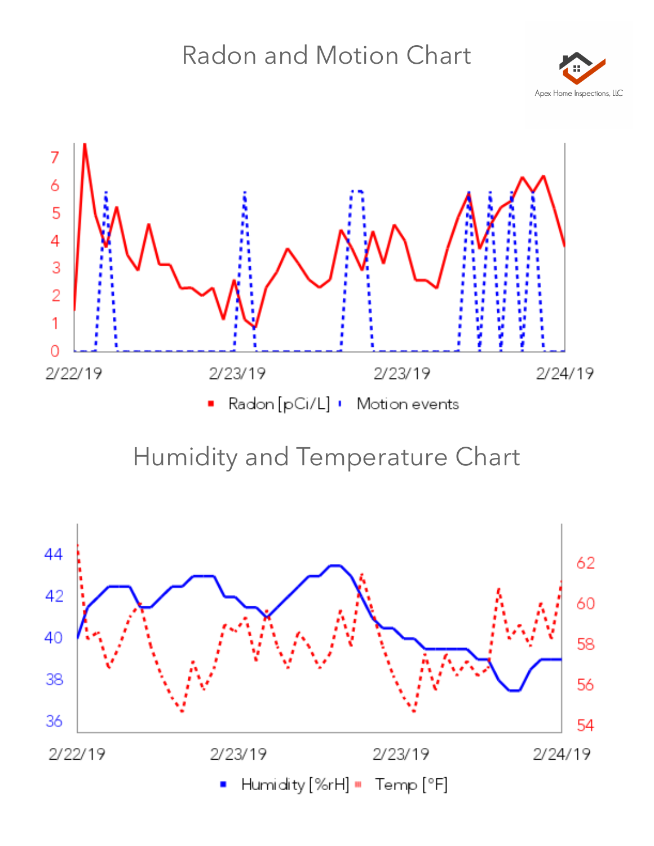# Radon and Motion Chart





### Humidity and Temperature Chart

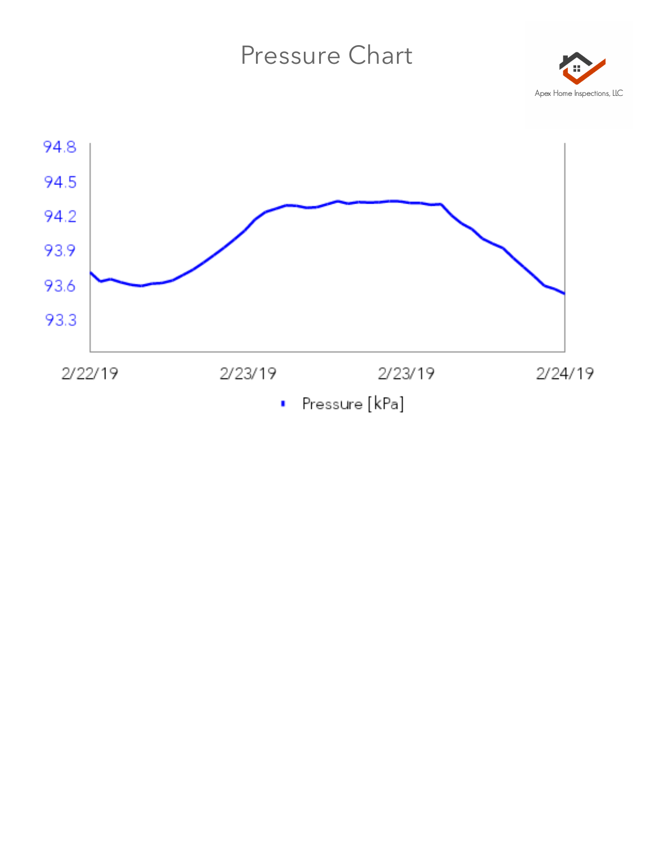#### Pressure Chart